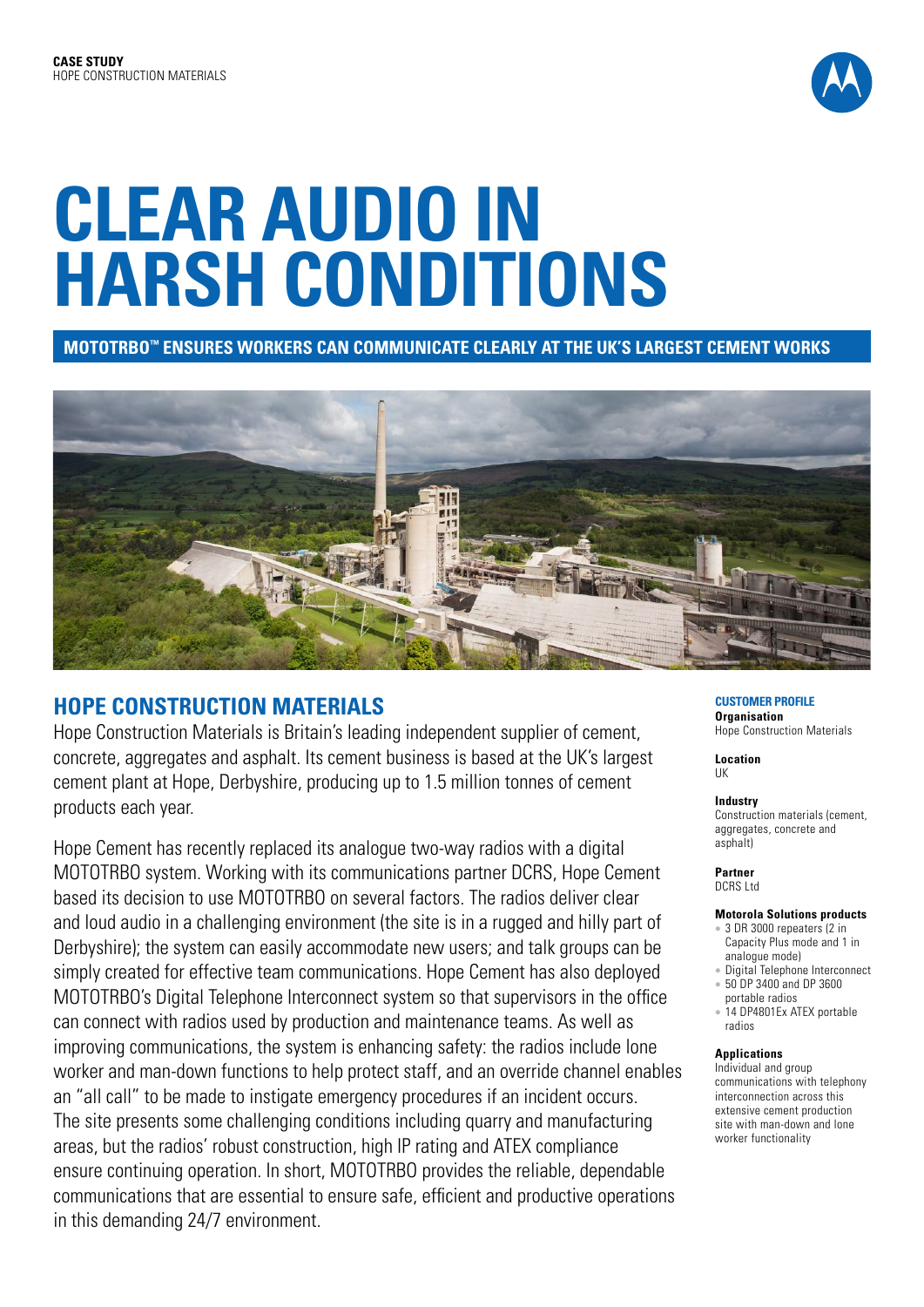

# **CLEAR AUDIO IN HARSH CONDITIONS**

## **MOTOTRBO™ ENSURES WORKERS CAN COMMUNICATE CLEARLY AT THE UK'S LARGEST CEMENT WORKS**



# **HOPE CONSTRUCTION MATERIALS**

Hope Construction Materials is Britain's leading independent supplier of cement, concrete, aggregates and asphalt. Its cement business is based at the UK's largest cement plant at Hope, Derbyshire, producing up to 1.5 million tonnes of cement products each year.

Hope Cement has recently replaced its analogue two-way radios with a digital MOTOTRBO system. Working with its communications partner DCRS, Hope Cement based its decision to use MOTOTRBO on several factors. The radios deliver clear and loud audio in a challenging environment (the site is in a rugged and hilly part of Derbyshire); the system can easily accommodate new users; and talk groups can be simply created for effective team communications. Hope Cement has also deployed MOTOTRBO's Digital Telephone Interconnect system so that supervisors in the office can connect with radios used by production and maintenance teams. As well as improving communications, the system is enhancing safety: the radios include lone worker and man-down functions to help protect staff, and an override channel enables an "all call" to be made to instigate emergency procedures if an incident occurs. The site presents some challenging conditions including quarry and manufacturing areas, but the radios' robust construction, high IP rating and ATEX compliance ensure continuing operation. In short, MOTOTRBO provides the reliable, dependable communications that are essential to ensure safe, efficient and productive operations in this demanding 24/7 environment.

#### **CUSTOMER PROFILE Organisation**

Hope Construction Materials

**Location** UK

**Industry**

Construction materials (cement, aggregates, concrete and asphalt)

#### **Partner**  DCRS Ltd

## **Motorola Solutions products**

- 3 DR 3000 repeaters (2 in Capacity Plus mode and 1 in analogue mode)
- Digital Telephone Interconnect <sup>l</sup> 50 DP 3400 and DP 3600
- portable radios <sup>l</sup> 14 DP4801Ex ATEX portable
- radios

## **Applications**

Individual and group communications with telephony interconnection across this extensive cement production site with man-down and lone worker functionality